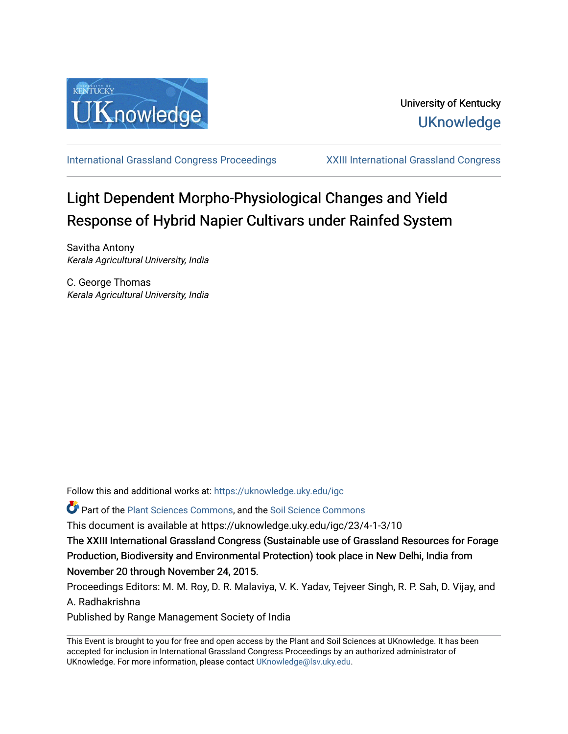

[International Grassland Congress Proceedings](https://uknowledge.uky.edu/igc) [XXIII International Grassland Congress](https://uknowledge.uky.edu/igc/23) 

# Light Dependent Morpho-Physiological Changes and Yield Response of Hybrid Napier Cultivars under Rainfed System

Savitha Antony Kerala Agricultural University, India

C. George Thomas Kerala Agricultural University, India

Follow this and additional works at: [https://uknowledge.uky.edu/igc](https://uknowledge.uky.edu/igc?utm_source=uknowledge.uky.edu%2Figc%2F23%2F4-1-3%2F10&utm_medium=PDF&utm_campaign=PDFCoverPages) 

**P** Part of the [Plant Sciences Commons](http://network.bepress.com/hgg/discipline/102?utm_source=uknowledge.uky.edu%2Figc%2F23%2F4-1-3%2F10&utm_medium=PDF&utm_campaign=PDFCoverPages), and the Soil Science Commons

This document is available at https://uknowledge.uky.edu/igc/23/4-1-3/10

The XXIII International Grassland Congress (Sustainable use of Grassland Resources for Forage Production, Biodiversity and Environmental Protection) took place in New Delhi, India from November 20 through November 24, 2015.

Proceedings Editors: M. M. Roy, D. R. Malaviya, V. K. Yadav, Tejveer Singh, R. P. Sah, D. Vijay, and A. Radhakrishna

Published by Range Management Society of India

This Event is brought to you for free and open access by the Plant and Soil Sciences at UKnowledge. It has been accepted for inclusion in International Grassland Congress Proceedings by an authorized administrator of UKnowledge. For more information, please contact [UKnowledge@lsv.uky.edu](mailto:UKnowledge@lsv.uky.edu).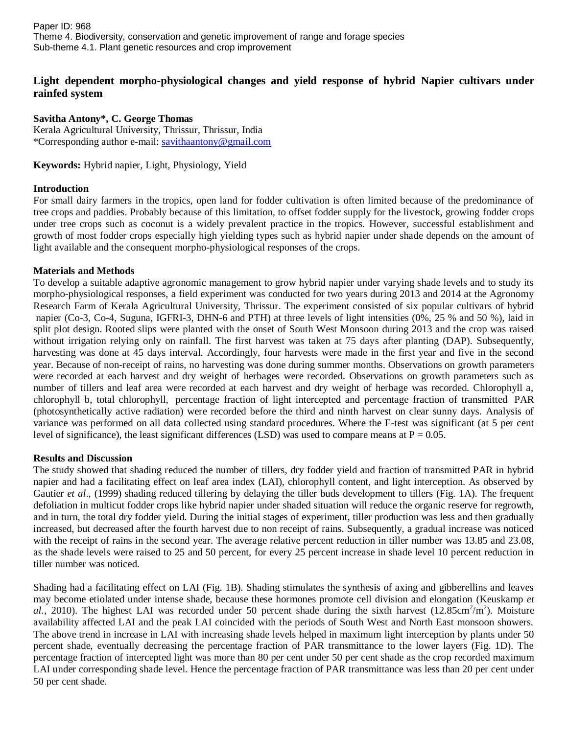Paper ID: 968 Theme 4. Biodiversity, conservation and genetic improvement of range and forage species Sub-theme 4.1. Plant genetic resources and crop improvement

# **Light dependent morpho-physiological changes and yield response of hybrid Napier cultivars under rainfed system**

## **Savitha Antony\*, C. George Thomas**

Kerala Agricultural University, Thrissur, Thrissur, India \*Corresponding author e-mail: [savithaantony@gmail.com](mailto:savithaantony@gmail.com)

**Keywords:** Hybrid napier, Light, Physiology, Yield

## **Introduction**

For small dairy farmers in the tropics, open land for fodder cultivation is often limited because of the predominance of tree crops and paddies. Probably because of this limitation, to offset fodder supply for the livestock, growing fodder crops under tree crops such as coconut is a widely prevalent practice in the tropics. However, successful establishment and growth of most fodder crops especially high yielding types such as hybrid napier under shade depends on the amount of light available and the consequent morpho-physiological responses of the crops.

#### **Materials and Methods**

To develop a suitable adaptive agronomic management to grow hybrid napier under varying shade levels and to study its morpho-physiological responses, a field experiment was conducted for two years during 2013 and 2014 at the Agronomy Research Farm of Kerala Agricultural University, Thrissur. The experiment consisted of six popular cultivars of hybrid napier (Co-3, Co-4, Suguna, IGFRI-3, DHN-6 and PTH) at three levels of light intensities (0%, 25 % and 50 %), laid in split plot design. Rooted slips were planted with the onset of South West Monsoon during 2013 and the crop was raised without irrigation relying only on rainfall. The first harvest was taken at 75 days after planting (DAP). Subsequently, harvesting was done at 45 days interval. Accordingly, four harvests were made in the first year and five in the second year. Because of non-receipt of rains, no harvesting was done during summer months. Observations on growth parameters were recorded at each harvest and dry weight of herbages were recorded. Observations on growth parameters such as number of tillers and leaf area were recorded at each harvest and dry weight of herbage was recorded. Chlorophyll a, chlorophyll b, total chlorophyll, percentage fraction of light intercepted and percentage fraction of transmitted PAR (photosynthetically active radiation) were recorded before the third and ninth harvest on clear sunny days. Analysis of variance was performed on all data collected using standard procedures. Where the F-test was significant (at 5 per cent level of significance), the least significant differences (LSD) was used to compare means at  $P = 0.05$ .

#### **Results and Discussion**

The study showed that shading reduced the number of tillers, dry fodder yield and fraction of transmitted PAR in hybrid napier and had a facilitating effect on leaf area index (LAI), chlorophyll content, and light interception. As observed by Gautier *et al*., (1999) shading reduced tillering by delaying the tiller buds development to tillers (Fig. 1A). The frequent defoliation in multicut fodder crops like hybrid napier under shaded situation will reduce the organic reserve for regrowth, and in turn, the total dry fodder yield. During the initial stages of experiment, tiller production was less and then gradually increased, but decreased after the fourth harvest due to non receipt of rains. Subsequently, a gradual increase was noticed with the receipt of rains in the second year. The average relative percent reduction in tiller number was 13.85 and 23.08, as the shade levels were raised to 25 and 50 percent, for every 25 percent increase in shade level 10 percent reduction in tiller number was noticed.

Shading had a facilitating effect on LAI (Fig. 1B). Shading stimulates the synthesis of axing and gibberellins and leaves may become etiolated under intense shade, because these hormones promote cell division and elongation (Keuskamp *et*   $al.$ , 2010). The highest LAI was recorded under 50 percent shade during the sixth harvest  $(12.85cm<sup>2</sup>/m<sup>2</sup>)$ . Moisture availability affected LAI and the peak LAI coincided with the periods of South West and North East monsoon showers. The above trend in increase in LAI with increasing shade levels helped in maximum light interception by plants under 50 percent shade, eventually decreasing the percentage fraction of PAR transmittance to the lower layers (Fig. 1D). The percentage fraction of intercepted light was more than 80 per cent under 50 per cent shade as the crop recorded maximum LAI under corresponding shade level. Hence the percentage fraction of PAR transmittance was less than 20 per cent under 50 per cent shade.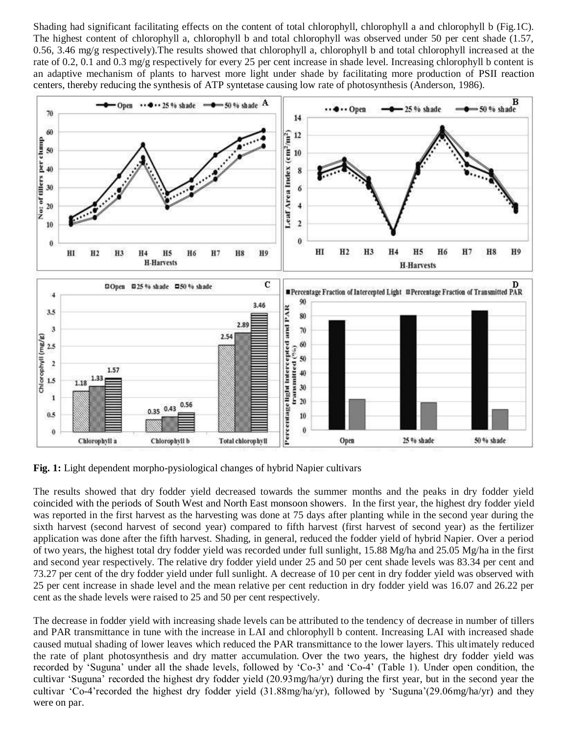Shading had significant facilitating effects on the content of total chlorophyll, chlorophyll a and chlorophyll b (Fig.1C). The highest content of chlorophyll a, chlorophyll b and total chlorophyll was observed under 50 per cent shade (1.57, 0.56, 3.46 mg/g respectively).The results showed that chlorophyll a, chlorophyll b and total chlorophyll increased at the rate of 0.2, 0.1 and 0.3 mg/g respectively for every 25 per cent increase in shade level. Increasing chlorophyll b content is an adaptive mechanism of plants to harvest more light under shade by facilitating more production of PSII reaction centers, thereby reducing the synthesis of ATP syntetase causing low rate of photosynthesis (Anderson, 1986).



**Fig. 1:** Light dependent morpho-pysiological changes of hybrid Napier cultivars

The results showed that dry fodder yield decreased towards the summer months and the peaks in dry fodder yield coincided with the periods of South West and North East monsoon showers. In the first year, the highest dry fodder yield was reported in the first harvest as the harvesting was done at 75 days after planting while in the second year during the sixth harvest (second harvest of second year) compared to fifth harvest (first harvest of second year) as the fertilizer application was done after the fifth harvest. Shading, in general, reduced the fodder yield of hybrid Napier. Over a period of two years, the highest total dry fodder yield was recorded under full sunlight,  $15.88 \text{ Mg/ha}$  and  $25.05 \text{ Mg/ha}$  in the first and second year respectively. The relative dry fodder yield under 25 and 50 per cent shade levels was 83.34 per cent and 73.27 per cent of the dry fodder yield under full sunlight. A decrease of 10 per cent in dry fodder yield was observed with 25 per cent increase in shade level and the mean relative per cent reduction in dry fodder yield was 16.07 and 26.22 per cent as the shade levels were raised to 25 and 50 per cent respectively.

The decrease in fodder yield with increasing shade levels can be attributed to the tendency of decrease in number of tillers and PAR transmittance in tune with the increase in LAI and chlorophyll b content. Increasing LAI with increased shade caused mutual shading of lower leaves which reduced the PAR transmittance to the lower layers. This ultimately reduced the rate of plant photosynthesis and dry matter accumulation. Over the two years, the highest dry fodder yield was recorded by 'Suguna' under all the shade levels, followed by 'Co-3' and 'Co-4' (Table 1). Under open condition, the cultivar 'Suguna' recorded the highest dry fodder yield (20.93mg/ha/yr) during the first year, but in the second year the cultivar 'Co-4'recorded the highest dry fodder yield (31.88mg/ha/yr), followed by 'Suguna'(29.06mg/ha/yr) and they were on par.